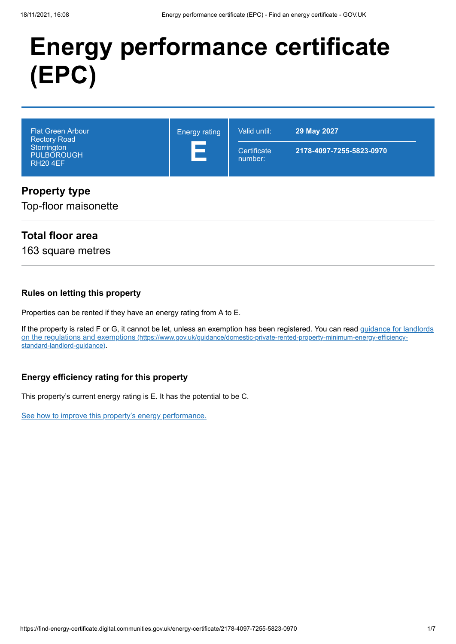# **Energy performance certificate (EPC)**

| Flat Green Arbour '<br><b>Energy rating</b><br><b>Rectory Road</b><br>Storrington<br><b>PULBOROUGH</b><br><b>RH20 4EF</b> | Valid until:           | 29 May 2027              |  |
|---------------------------------------------------------------------------------------------------------------------------|------------------------|--------------------------|--|
|                                                                                                                           | Certificate<br>number: | 2178-4097-7255-5823-0970 |  |

### **Property type**

Top-floor maisonette

### **Total floor area**

163 square metres

#### **Rules on letting this property**

Properties can be rented if they have an energy rating from A to E.

[If the property is rated F or G, it cannot be let, unless an exemption has been registered. You can read guidance for landlords](https://www.gov.uk/guidance/domestic-private-rented-property-minimum-energy-efficiency-standard-landlord-guidance) on the regulations and exemptions (https://www.gov.uk/guidance/domestic-private-rented-property-minimum-energy-efficiencystandard-landlord-guidance).

#### **Energy efficiency rating for this property**

This property's current energy rating is E. It has the potential to be C.

[See how to improve this property's energy performance.](#page-3-0)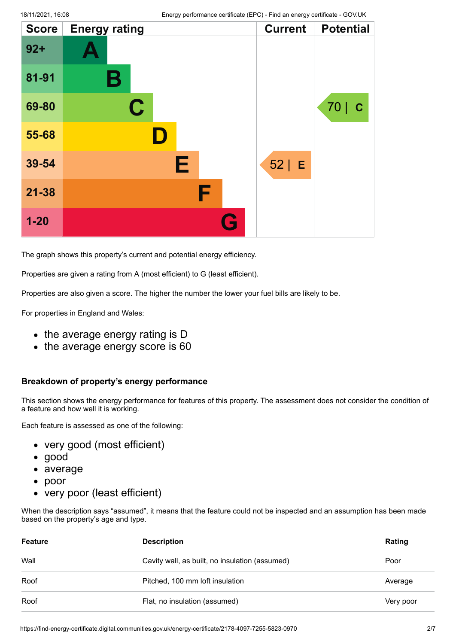| <b>Score</b> | <b>Energy rating</b> |   | <b>Current</b> | <b>Potential</b>    |
|--------------|----------------------|---|----------------|---------------------|
| $92 +$       |                      |   |                |                     |
| 81-91        | Β                    |   |                |                     |
| 69-80        | $\mathbf C$          |   |                | 70  <br>$\mathbf C$ |
| 55-68        |                      |   |                |                     |
| 39-54        |                      | E | $52$   E       |                     |
| $21 - 38$    |                      | F |                |                     |
| $1 - 20$     |                      | G |                |                     |

The graph shows this property's current and potential energy efficiency.

Properties are given a rating from A (most efficient) to G (least efficient).

Properties are also given a score. The higher the number the lower your fuel bills are likely to be.

For properties in England and Wales:

- the average energy rating is D
- the average energy score is 60

#### **Breakdown of property's energy performance**

This section shows the energy performance for features of this property. The assessment does not consider the condition of a feature and how well it is working.

Each feature is assessed as one of the following:

- very good (most efficient)
- good
- average
- poor  $\bullet$
- very poor (least efficient)

When the description says "assumed", it means that the feature could not be inspected and an assumption has been made based on the property's age and type.

| Feature | <b>Description</b>                             | Rating    |
|---------|------------------------------------------------|-----------|
| Wall    | Cavity wall, as built, no insulation (assumed) | Poor      |
| Roof    | Pitched, 100 mm loft insulation                | Average   |
| Roof    | Flat, no insulation (assumed)                  | Very poor |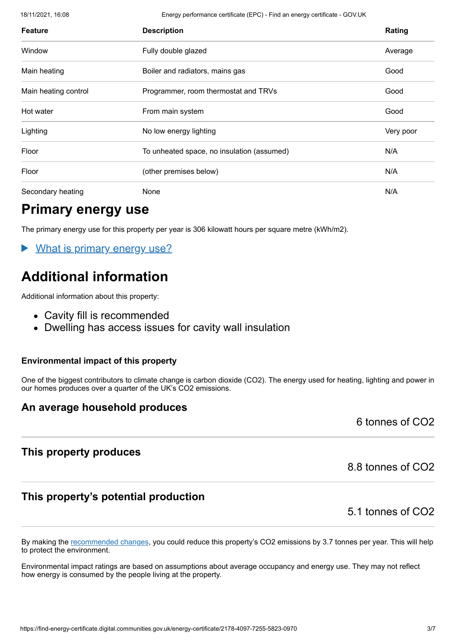18/11/2021, 16:08 Energy performance certificate (EPC) - Find an energy certificate - GOV.UK

| <b>Feature</b>       | <b>Description</b>                         | Rating    |
|----------------------|--------------------------------------------|-----------|
| Window               | Fully double glazed                        | Average   |
| Main heating         | Boiler and radiators, mains gas            | Good      |
| Main heating control | Programmer, room thermostat and TRVs       | Good      |
| Hot water            | From main system                           | Good      |
| Lighting             | No low energy lighting                     | Very poor |
| Floor                | To unheated space, no insulation (assumed) | N/A       |
| Floor                | (other premises below)                     | N/A       |
| Secondary heating    | None                                       | N/A       |

# **Primary energy use**

The primary energy use for this property per year is 306 kilowatt hours per square metre (kWh/m2).

 $\blacktriangleright$ What is primary energy use?

# **Additional information**

Additional information about this property:

- Cavity fill is recommended
- Dwelling has access issues for cavity wall insulation

#### **Environmental impact of this property**

One of the biggest contributors to climate change is carbon dioxide (CO2). The energy used for heating, lighting and power in our homes produces over a quarter of the UK's CO2 emissions.

### **An average household produces**

6 tonnes of CO2

### **This property produces**

### **This property's potential production**

8.8 tonnes of CO2

### 5.1 tonnes of CO2

By making the [recommended changes](#page-3-0), you could reduce this property's CO2 emissions by 3.7 tonnes per year. This will help to protect the environment.

Environmental impact ratings are based on assumptions about average occupancy and energy use. They may not reflect how energy is consumed by the people living at the property.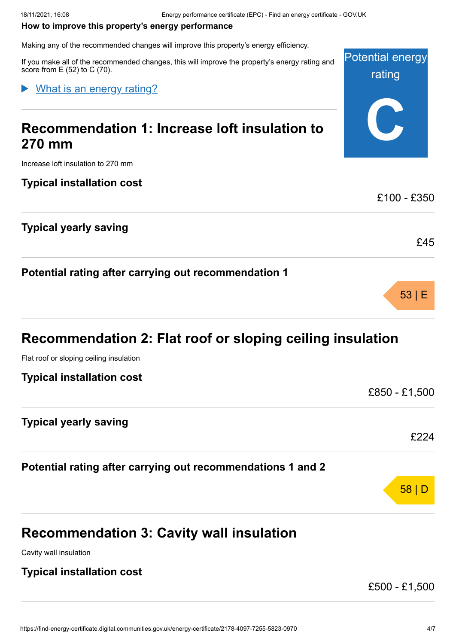#### <span id="page-3-0"></span>**How to improve this property's energy performance**

Making any of the recommended changes will improve this property's energy efficiency.

Potential energy rating If you make all of the recommended changes, this will improve the property's energy rating and score from E (52) to C (70).

### What is an energy rating?

# **Recommendation 1: Increase loft insulation to 270 mm**

Increase loft insulation to 270 mm

### **Typical installation cost**

### **Typical yearly saving**

**Potential rating after carrying out recommendation 1**

# **Recommendation 2: Flat roof or sloping ceiling insulation**

Flat roof or sloping ceiling insulation

# **Typical yearly saving**

**Potential rating after carrying out recommendations 1 and 2**

# **Recommendation 3: Cavity wall insulation**

Cavity wall insulation

### **Typical installation cost**

£500 - £1,500

**C**

£100 - £350

£45

53 | E

£850 - £1,500

£224

58 | D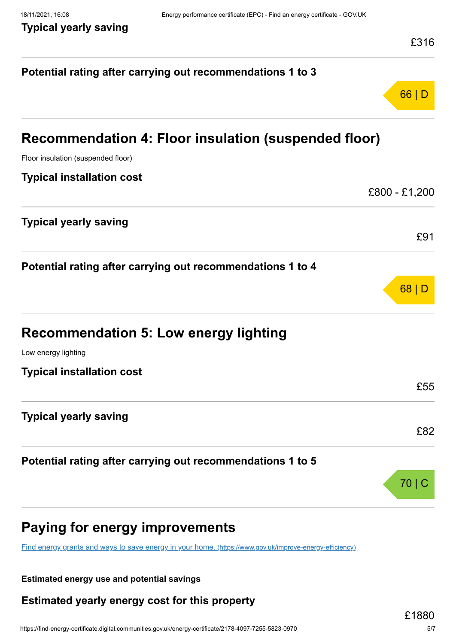|                                                                                                         | £316          |
|---------------------------------------------------------------------------------------------------------|---------------|
| Potential rating after carrying out recommendations 1 to 3                                              |               |
|                                                                                                         | 66 D          |
| Recommendation 4: Floor insulation (suspended floor)                                                    |               |
| Floor insulation (suspended floor)                                                                      |               |
| <b>Typical installation cost</b>                                                                        |               |
|                                                                                                         | £800 - £1,200 |
| <b>Typical yearly saving</b>                                                                            |               |
|                                                                                                         | £91           |
| Potential rating after carrying out recommendations 1 to 4                                              |               |
|                                                                                                         | 68            |
| <b>Recommendation 5: Low energy lighting</b>                                                            |               |
| Low energy lighting                                                                                     |               |
| <b>Typical installation cost</b>                                                                        |               |
|                                                                                                         | £55           |
| <b>Typical yearly saving</b>                                                                            |               |
|                                                                                                         | £82           |
| Potential rating after carrying out recommendations 1 to 5                                              |               |
|                                                                                                         | 70            |
| Paying for energy improvements                                                                          |               |
| Find energy grants and ways to save energy in your home. (https://www.gov.uk/improve-energy-efficiency) |               |

**Estimated energy use and potential savings**

**Estimated yearly energy cost for this property**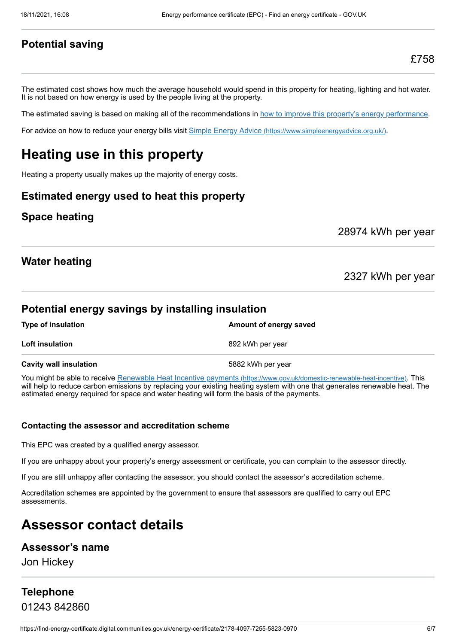### **Potential saving**

The estimated cost shows how much the average household would spend in this property for heating, lighting and hot water. It is not based on how energy is used by the people living at the property.

The estimated saving is based on making all of the recommendations in [how to improve this property's energy performance.](#page-3-0)

For advice on how to reduce your energy bills visit Simple Energy Advice [\(https://www.simpleenergyadvice.org.uk/\)](https://www.simpleenergyadvice.org.uk/).

# **Heating use in this property**

Heating a property usually makes up the majority of energy costs.

### **Estimated energy used to heat this property**

### **Space heating**

28974 kWh per year

#### **Water heating**

2327 kWh per year

### **Potential energy savings by installing insulation**

| <b>Type of insulation</b>     | Amount of energy saved |
|-------------------------------|------------------------|
| <b>Loft insulation</b>        | 892 kWh per year       |
| <b>Cavity wall insulation</b> | 5882 kWh per year      |

You might be able to receive Renewable Heat Incentive payments [\(https://www.gov.uk/domestic-renewable-heat-incentive\)](https://www.gov.uk/domestic-renewable-heat-incentive). This will help to reduce carbon emissions by replacing your existing heating system with one that generates renewable heat. The estimated energy required for space and water heating will form the basis of the payments.

#### **Contacting the assessor and accreditation scheme**

This EPC was created by a qualified energy assessor.

If you are unhappy about your property's energy assessment or certificate, you can complain to the assessor directly.

If you are still unhappy after contacting the assessor, you should contact the assessor's accreditation scheme.

Accreditation schemes are appointed by the government to ensure that assessors are qualified to carry out EPC assessments.

# **Assessor contact details**

#### **Assessor's name**

Jon Hickey

# **Telephone** 01243 842860